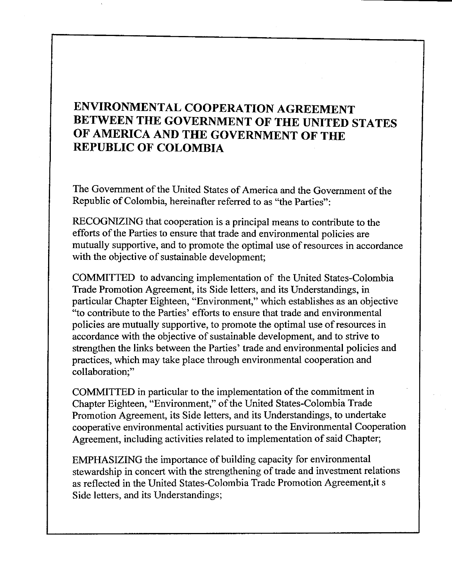# ENVIRONMENTAL COOPERATION AGREEMENT BETWEEN THE GOVERNMENT OF THE UNITED STATES OF AMERICA AND THE GOVERNMENT OF THE REPUBLIC OF COLOMBIA

The Government of the United States of America and the Government of the Republic of Colombia, hereinafter referred to as "the Parties":

RECOGNIZING that cooperation is a principal means to contribute to the efforts of the Parties to ensure that trade and environmental policies are mutually supportive, and to promote the optimal use of resources in accordance with the objective of sustainable development;

COMMITTED to advancing implementation of the United States-Colombia Trade Promotion Agreement, its Side letters, and its Understandings, in particular Chapter Eighteen, "Environment," which establishes as an objective "to contribute to the Parties' efforts to ensure that trade and environmental policies are mutually supportive, to promote the optimal use of resources in accordance with the objective of sustainable development, and to strive to strengthen the links between the Parties' trade and environmental policies and practices, which may take place through environmental cooperation and collaboration;"

COMMITTED in particular to the implementation of the commitment in Chapter Eighteen, "Environment," of the United States-Colombia Trade Promotion Agreement, its Side letters, and its Understandings, to undertake cooperative environmental activities pursuant to the Environmental Cooperation Agreement, including activities related to implementation of said Chapter;

EMPHASIZING the importance of building capacity for environmental stewardship in concert with the strengthening of trade and investment relations as reflected in the United States-Colombia Trade Promotion Agreement,it s Side letters, and its Understandings;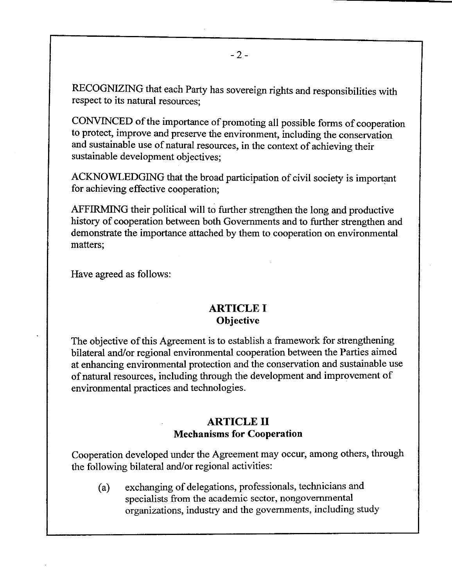RECOGNIZING that each Party has sovereign rights and responsibilities with respect to its natural resources;

CONVINCED of the importance of promoting all possible forms of cooperation to protect, improve and preserve the environment, including the conservation and sustainable use of natural resources, in the context of achieving their sustainable development objectives;

ACKNOWLEDGING that the broad participation of civil society is important for achieving effective cooperation;

AFFIRMING their political will to further strengthen the long and productive history of cooperation between both Governments and to further strengthen and demonstrate the importance attached by them to cooperation on environmental matters;

Have agreed as follows:

#### **ARTICLE I Objective**

The objective of this Agreement is to establish a framework for strengthening bilateral and/or regional environmental cooperation between the Parties aimed at enhancing environmental protection and the conservation and sustainable use of natural resources, including through the development and improvement of environmental practices and technologies.

#### **ARTICLE II Mechanisms for Cooperation**

Cooperation developed under the Agreement may occur, among others, through the following bilateral and/or regional activities:

(a) exchanging of delegations, professionals, technicians and specialists from the academic sector, nongovernmental organizations, industry and the governments, including study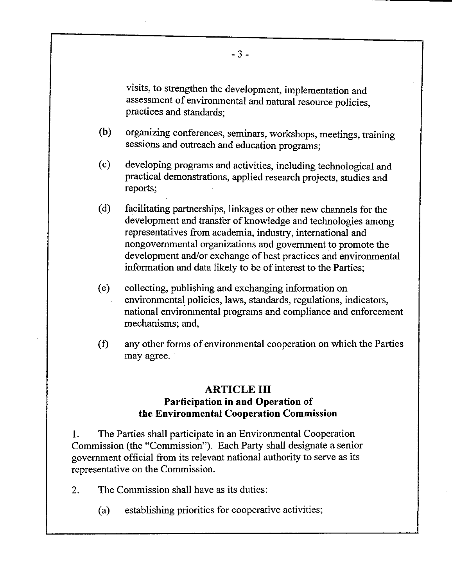visits, to strengthen the development, implementation and assessment of environmental and natural resource policies, practices and standards;

- (b) organizing conferences, seminars, workshops, meetings, training sessions and outreach and education programs;
- (c) developing programs and activities, including technological and practical demonstrations, applied research projects, studies and reports;
- (d) facilitating partnerships, linkages or other new channels for the development and transfer of knowledge and technologies among representatives from academia, industry, international and nongovernmental organizations and government to promote the development and/or exchange of best practices and environmental information and data likely to be of interest to the Parties;
- (e) collecting, publishing and exchanging information on environmental policies, laws, standards, regulations, indicators, national environmental programs and compliance and enforcement mechanisms; and,
- (f) any other forms of environmental cooperation on which the Parties may agree.

### **ARTICLE III Participation in and Operation of the Environmental Cooperation Commission**

1. The Parties shall participate in an Environmental Cooperation Commission (the "Commission"). Each Party shall designate a senior government official from its relevant national authority to serve as its representative on the Commission.

- 2. The Commission shall have as its duties:
	- (a) establishing priorities for cooperative activities;

 $-3-$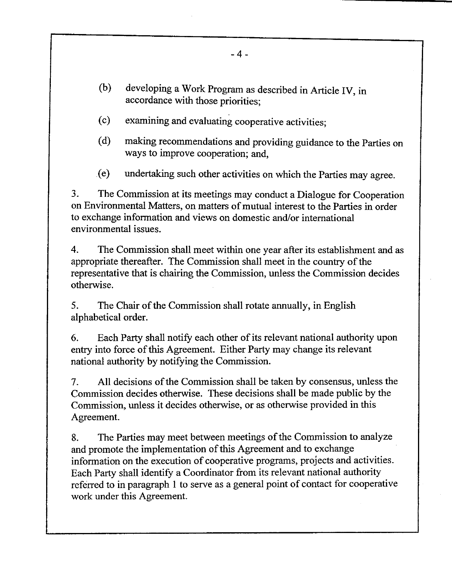- (b) developing a Work Program as described in Article IV, in accordance with those priorities;
- (c) examining and evaluating cooperative activities;
- (d) making recommendations and providing guidance to the Parties on ways to improve cooperation; and,
- (e) undertaking such other activities on which the Parties may agree.

3. The Commission at its meetings may conduct a Dialogue for Cooperation on Environmental Matters, on matters of mutual interest to the Parties in order to exchange information and views on domestic and/or international environmental issues.

4. The Commission shall meet within one year after its establishment and as appropriate thereafter. The Commission shall meet in the country of the representative that is chairing the Commission, unless the Commission decides otherwise.

5. The Chair of the Commission shall rotate annually, in English alphabetical order.

6. Each Party shall notify each other of its relevant national authority upon entry into force of this Agreement. Either Party may change its relevant national authority by notifying the Commission.

7. All decisions of the Commission shall be taken by consensus, unless the Commission decides otherwise. These decisions shall be made public by the Commission, unless it decides otherwise, or as otherwise provided in this Agreement.

8. The Parties may meet between meetings of the Commission to analyze and promote the implementation of this Agreement and to exchange information on the execution of cooperative programs, projects and activities. Each Party shall identify a Coordinator from its relevant national authority referred to in paragraph 1 to serve as a general point of contact for cooperative work under this Agreement.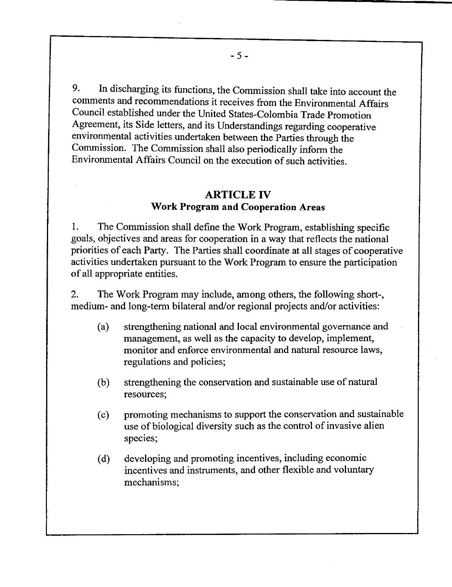9. In discharging its functions, the Commission shall take into account the comments and recommendations it receives from the Environmental Affairs Council established under the United States-Colombia Trade Promotion Agreement, its Side letters, and its Understandings regarding cooperative environmental activities undertaken between the Parties through the Commission. The Commission shall also periodically inform the Environmental Affairs Council on the execution of such activities.

### **ARTICLE IV Work Program and Cooperation Areas**

1. The Commission shall define the Work Program, establishing specific goals, objectives and areas for cooperation in a way that reflects the national priorities of each Party. The Parties shall coordinate at all stages of cooperative activities undertaken pursuant to the Work Program to ensure the participation of all appropriate entities.

2. The Work Program may include, among others, the following short-, medium- and long-term bilateral and/or regional projects and/or activities:

- (a) strengthening national and local environmental governance and management, as well as the capacity to develop, implement, monitor and enforce environmental and natural resource laws, regulations and policies;
- (b) strengthening the conservation and sustainable use of natural resources;
- (c) promoting mechanisms to support the conservation and sustainable use of biological diversity such as the control of invasive alien species;
- (d) developing and promoting incentives, including economic incentives and instruments, and other flexible and voluntary mechanisms;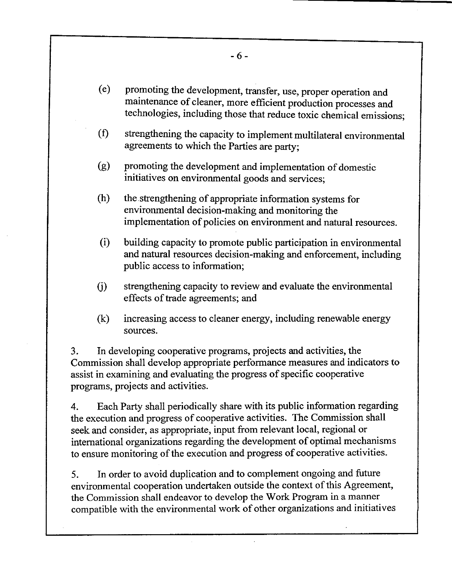- promoting the development, transfer, use, proper operation and (e) maintenance of cleaner, more efficient production processes and technologies, including those that reduce toxic chemical emissions;
- $(f)$ strengthening the capacity to implement multilateral environmental agreements to which the Parties are party;
- promoting the development and implementation of domestic (g) initiatives on environmental goods and services;
- $(h)$ the strengthening of appropriate information systems for environmental decision-making and monitoring the implementation of policies on environment and natural resources.
- $(i)$ building capacity to promote public participation in environmental and natural resources decision-making and enforcement, including public access to information;
- $(i)$ strengthening capacity to review and evaluate the environmental effects of trade agreements; and
- $(k)$ increasing access to cleaner energy, including renewable energy sources.

3. In developing cooperative programs, projects and activities, the Commission shall develop appropriate performance measures and indicators to assist in examining and evaluating the progress of specific cooperative programs, projects and activities.

4. Each Party shall periodically share with its public information regarding the execution and progress of cooperative activities. The Commission shall seek and consider, as appropriate, input from relevant local, regional or international organizations regarding the development of optimal mechanisms to ensure monitoring of the execution and progress of cooperative activities.

5. In order to avoid duplication and to complement ongoing and future environmental cooperation undertaken outside the context of this Agreement, the Commission shall endeavor to develop the Work Program in a manner compatible with the environmental work of other organizations and initiatives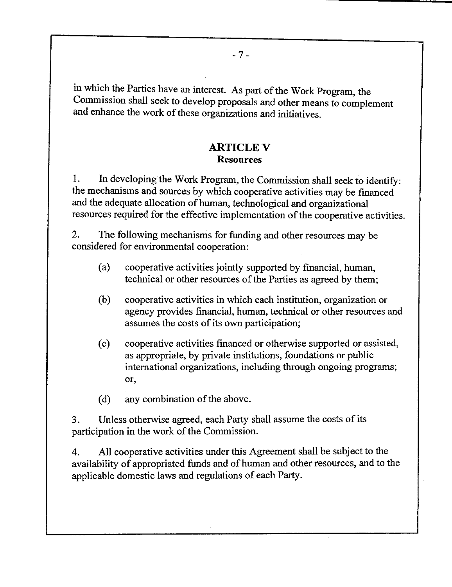in which the Parties have an interest. As part of the Work Program, the Commission shall seek to develop proposals and other means to complement and enhance the work of these organizations and initiatives.

#### ARTICLE V Resources

1. In developing the Work Program, the Commission shall seek to identify: the mechanisms and sources by which cooperative activities may be financed and the adequate allocation of human, technological and organizational resources required for the effective implementation of the cooperative activities.

2. The following mechanisms for finding and other resources may be considered for environmental cooperation:

- (a) cooperative activities jointly supported by financial, human, technical or other resources of the Parties as agreed by them;
- (b) cooperative activities in which each institution, organization or agency provides financial, human, technical or other resources and assumes the costs of its own participation;
- (c) cooperative activities financed or otherwise supported or assisted, as appropriate, by private institutions, foundations or public international organizations, including through ongoing programs; or,
- (d) any combination of the above.

3. Unless otherwise agreed, each Party shall assume the costs of its participation in the work of the Commission.

4. All cooperative activities under this Agreement shall be subject to the availability of appropriated funds and of human and other resources, and to the applicable domestic laws and regulations of each Party.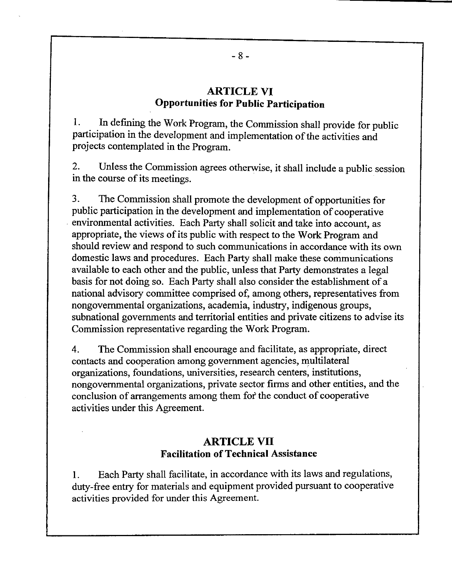#### **ARTICLE VI Opportunities for Public Participation**

1. In defining the Work Program, the Commission shall provide for public participation in the development and implementation of the activities and projects contemplated in the Program.

2. Unless the Commission agrees otherwise, it shall include a public session in the course of its meetings.

3. The Commission shall promote the development of opportunities for public participation in the development and implementation of cooperative environmental activities. Each Party shall solicit and take into account, as appropriate, the views of its public with respect to the Work Program and should review and respond to such communications in accordance with its own domestic laws and procedures. Each Party shall make these communications available to each other and the public, unless that Party demonstrates a legal basis for not doing so. Each Party shall also consider the establishment of a national advisory committee comprised of, among others, representatives from nongovernmental organizations, academia, industry, indigenous groups, subnational governments and territorial entities and private citizens to advise its Commission representative regarding the Work Program.

4. The Commission shall encourage and facilitate, as appropriate, direct contacts and cooperation among government agencies, multilateral organizations, foundations, universities, research centers, institutions, nongovernmental organizations, private sector firms and other entities, and the conclusion of arrangements among them fof the conduct of cooperative activities under this Agreement.

#### **ARTICLE VII Facilitation of Technical Assistance**

1. Each Party shall facilitate, in accordance with its laws and regulations, duty-free entry for materials and equipment provided pursuant to cooperative activities provided for under this Agreement.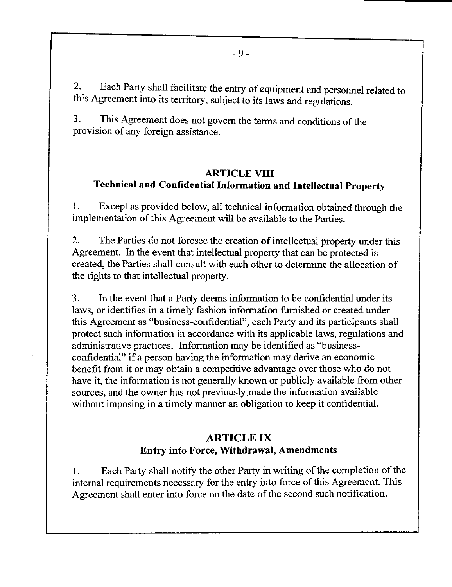2. Each Party shall facilitate the entry of equipment and personnel related to this Agreement into its territory, subject to its laws and regulations.

3. This Agreement does not govern the terms and conditions of the provision of any foreign assistance.

#### **ARTICLE VIII**

## **Technical and Confidential Information and Intellectual Property**

1. Except as provided below, all technical information obtained through the implementation of this Agreement will be available to the Parties.

2. The Parties do not foresee the creation of intellectual property under this Agreement. In the event that intellectual property that can be protected is created, the Parties shall consult with each other to determine the allocation of the rights to that intellectual property.

3. In the event that a Party deems information to be confidential under its laws, or identifies in a timely fashion information furnished or created under this Agreement as "business-confidential", each Party and its participants shall protect such information in accordance with its applicable laws, regulations and administrative practices. Information may be identified as "businessconfidential" if a person having the information may derive an economic benefit from it or may obtain a competitive advantage over those who do not have it, the information is not generally known or publicly available from other sources, and the owner has not previously made the information available without imposing in a timely manner an obligation to keep it confidential.

## **ARTICLE IX Entry into Force, Withdrawal, Amendments**

**1.** Each Party shall notify the other Party in writing of the completion of the internal requirements necessary for the entry into force of this Agreement. This Agreement shall enter into force on the date of the second such notification.